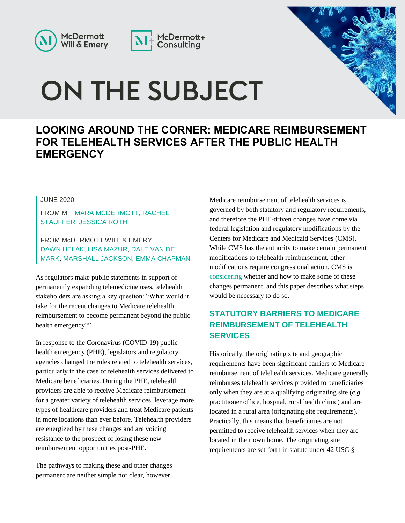



# ON THE SUBJECT



## **LOOKING AROUND THE CORNER: MEDICARE REIMBURSEMENT FOR TELEHEALTH SERVICES AFTER THE PUBLIC HEALTH EMERGENCY**

#### JUNE 2020

FROM M+: [MARA MCDERMOTT,](https://www.mcdermottplus.com/consultants/mara/) [RACHEL](https://www.mcdermottplus.com/consultants/rachel-stauffer/)  [STAUFFER,](https://www.mcdermottplus.com/consultants/rachel-stauffer/) [JESSICA ROTH](https://www.mcdermottplus.com/consultants/jessica-roth/)

FROM McDERMOTT WILL & EMERY: [DAWN HELAK,](https://www.mwe.com/people/helak-dawn-r/) [LISA MAZUR,](https://www.mwe.com/people/mazur-lisa-schmitz/) [DALE VAN DE](https://www.mwe.com/people/van-demark-dale/)  [MARK,](https://www.mwe.com/people/van-demark-dale/) [MARSHALL JACKSON,](https://www.mwe.com/people/jackson-marshall-e/) [EMMA CHAPMAN](https://www.mwe.com/people/chapman-emma-j/)

As regulators make public statements in support of permanently expanding telemedicine uses, telehealth stakeholders are asking a key question: "What would it take for the recent changes to Medicare telehealth reimbursement to become permanent beyond the public health emergency?"

In response to the Coronavirus (COVID-19) public health emergency (PHE), legislators and regulatory agencies changed the rules related to telehealth services, particularly in the case of telehealth services delivered to Medicare beneficiaries. During the PHE, telehealth providers are able to receive Medicare reimbursement for a greater variety of telehealth services, leverage more types of healthcare providers and treat Medicare patients in more locations than ever before. Telehealth providers are energized by these changes and are voicing resistance to the prospect of losing these new reimbursement opportunities post-PHE.

The pathways to making these and other changes permanent are neither simple nor clear, however. Medicare reimbursement of telehealth services is governed by both statutory and regulatory requirements, and therefore the PHE-driven changes have come via federal legislation and regulatory modifications by the Centers for Medicare and Medicaid Services (CMS). While CMS has the authority to make certain permanent modifications to telehealth reimbursement, other modifications require congressional action. CMS is [considering](https://news.bloomberglaw.com/health-law-and-business/medicare-agency-weighing-permanent-telehealth-rule-changes) whether and how to make some of these changes permanent, and this paper describes what steps would be necessary to do so.

#### **STATUTORY BARRIERS TO MEDICARE REIMBURSEMENT OF TELEHEALTH SERVICES**

Historically, the originating site and geographic requirements have been significant barriers to Medicare reimbursement of telehealth services. Medicare generally reimburses telehealth services provided to beneficiaries only when they are at a qualifying originating site (*e.g.*, practitioner office, hospital, rural health clinic) and are located in a rural area (originating site requirements). Practically, this means that beneficiaries are not permitted to receive telehealth services when they are located in their own home. The originating site requirements are set forth in statute under 42 USC §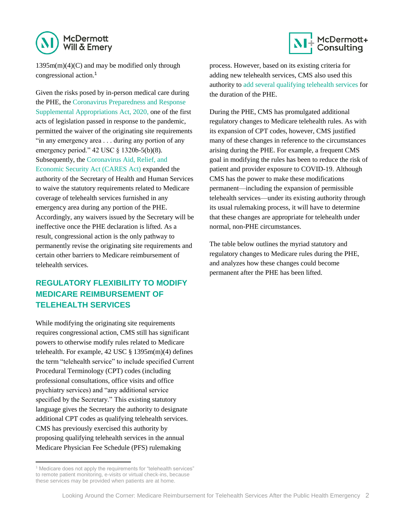

1395m(m)(4)(C) and may be modified only through congressional action.<sup>1</sup>

Given the risks posed by in-person medical care during the PHE, the [Coronavirus Preparedness and Response](https://www.congress.gov/116/plaws/publ123/PLAW-116publ123.pdf)  [Supplemental Appropriations Act, 2020,](https://www.congress.gov/116/plaws/publ123/PLAW-116publ123.pdf) one of the first acts of legislation passed in response to the pandemic, permitted the waiver of the originating site requirements "in any emergency area . . . during any portion of any emergency period." 42 USC § 1320b-5(b)(8). Subsequently, the [Coronavirus Aid, Relief, and](https://www.govinfo.gov/content/pkg/BILLS-116hr748enr/pdf/BILLS-116hr748enr.pdf)  [Economic Security Act \(CARES Act\)](https://www.govinfo.gov/content/pkg/BILLS-116hr748enr/pdf/BILLS-116hr748enr.pdf) expanded the authority of the Secretary of Health and Human Services to waive the statutory requirements related to Medicare coverage of telehealth services furnished in any emergency area during any portion of the PHE. Accordingly, any waivers issued by the Secretary will be ineffective once the PHE declaration is lifted. As a result, congressional action is the only pathway to permanently revise the originating site requirements and certain other barriers to Medicare reimbursement of telehealth services.

### **REGULATORY FLEXIBILITY TO MODIFY MEDICARE REIMBURSEMENT OF TELEHEALTH SERVICES**

While modifying the originating site requirements requires congressional action, CMS still has significant powers to otherwise modify rules related to Medicare telehealth. For example,  $42$  USC  $\S$  1395m(m)(4) defines the term "telehealth service" to include specified Current Procedural Terminology (CPT) codes (including professional consultations, office visits and office psychiatry services) and "any additional service specified by the Secretary." This existing statutory language gives the Secretary the authority to designate additional CPT codes as qualifying telehealth services. CMS has previously exercised this authority by proposing qualifying telehealth services in the annual Medicare Physician Fee Schedule (PFS) rulemaking

l



process. However, based on its existing criteria for adding new telehealth services, CMS also used this authority to [add several qualifying telehealth services](https://www.cms.gov/Medicare/Medicare-General-Information/Telehealth/Telehealth-Codes) for the duration of the PHE.

During the PHE, CMS has promulgated additional regulatory changes to Medicare telehealth rules. As with its expansion of CPT codes, however, CMS justified many of these changes in reference to the circumstances arising during the PHE. For example, a frequent CMS goal in modifying the rules has been to reduce the risk of patient and provider exposure to COVID-19. Although CMS has the power to make these modifications permanent—including the expansion of permissible telehealth services—under its existing authority through its usual rulemaking process, it will have to determine that these changes are appropriate for telehealth under normal, non-PHE circumstances.

The table below outlines the myriad statutory and regulatory changes to Medicare rules during the PHE, and analyzes how these changes could become permanent after the PHE has been lifted.

<sup>&</sup>lt;sup>1</sup> Medicare does not apply the requirements for "telehealth services" to remote patient monitoring, e-visits or virtual check-ins, because these services may be provided when patients are at home.